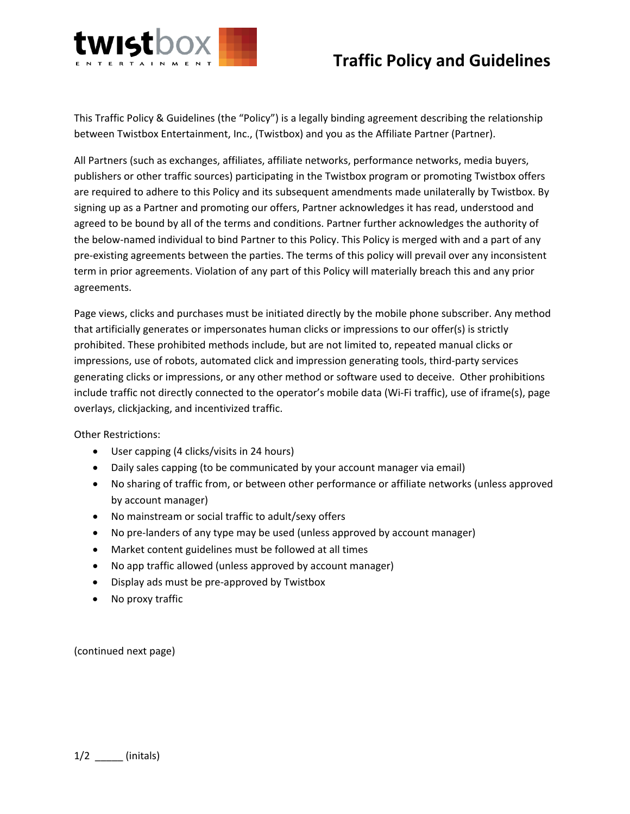

## **Traffic Policy and Guidelines**

This Traffic Policy & Guidelines (the "Policy") is a legally binding agreement describing the relationship between Twistbox Entertainment, Inc., (Twistbox) and you as the Affiliate Partner (Partner).

All Partners (such as exchanges, affiliates, affiliate networks, performance networks, media buyers, publishers or other traffic sources) participating in the Twistbox program or promoting Twistbox offers are required to adhere to this Policy and its subsequent amendments made unilaterally by Twistbox. By signing up as a Partner and promoting our offers, Partner acknowledges it has read, understood and agreed to be bound by all of the terms and conditions. Partner further acknowledges the authority of the below-named individual to bind Partner to this Policy. This Policy is merged with and a part of any pre-existing agreements between the parties. The terms of this policy will prevail over any inconsistent term in prior agreements. Violation of any part of this Policy will materially breach this and any prior agreements.

Page views, clicks and purchases must be initiated directly by the mobile phone subscriber. Any method that artificially generates or impersonates human clicks or impressions to our offer(s) is strictly prohibited. These prohibited methods include, but are not limited to, repeated manual clicks or impressions, use of robots, automated click and impression generating tools, third-party services generating clicks or impressions, or any other method or software used to deceive. Other prohibitions include traffic not directly connected to the operator's mobile data (Wi-Fi traffic), use of iframe(s), page overlays, clickjacking, and incentivized traffic.

Other Restrictions:

- User capping (4 clicks/visits in 24 hours)
- Daily sales capping (to be communicated by your account manager via email)
- No sharing of traffic from, or between other performance or affiliate networks (unless approved by account manager)
- No mainstream or social traffic to adult/sexy offers
- No pre-landers of any type may be used (unless approved by account manager)
- Market content guidelines must be followed at all times
- No app traffic allowed (unless approved by account manager)
- Display ads must be pre-approved by Twistbox
- No proxy traffic

(continued next page)